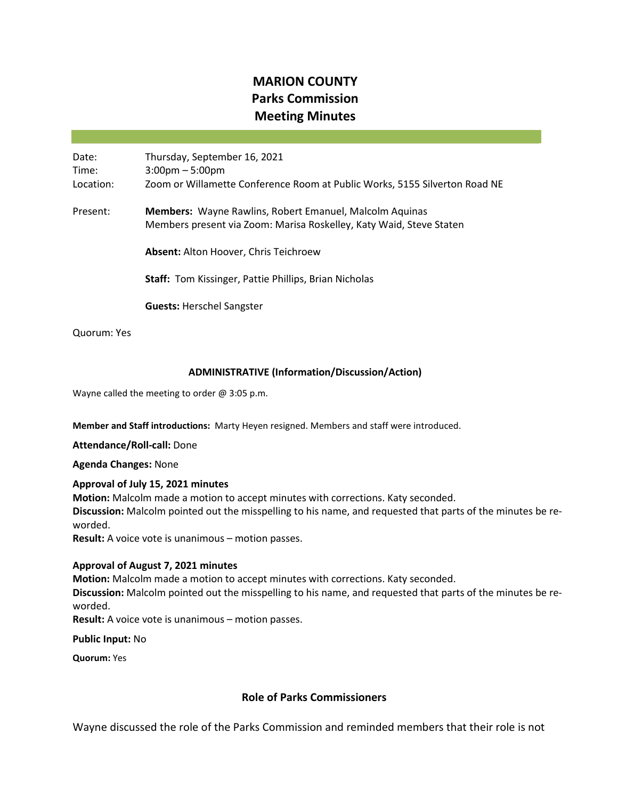# **MARION COUNTY Parks Commission Meeting Minutes**

Date: Thursday, September 16, 2021 Time: 3:00pm – 5:00pm Location: Zoom or Willamette Conference Room at Public Works, 5155 Silverton Road NE Present: **Members:** Wayne Rawlins, Robert Emanuel, Malcolm Aquinas Members present via Zoom: Marisa Roskelley, Katy Waid, Steve Staten **Absent:** Alton Hoover, Chris Teichroew **Staff:** Tom Kissinger, Pattie Phillips, Brian Nicholas

**Guests:** Herschel Sangster

Quorum: Yes

#### **ADMINISTRATIVE (Information/Discussion/Action)**

Wayne called the meeting to order @ 3:05 p.m.

**Member and Staff introductions:** Marty Heyen resigned. Members and staff were introduced.

**Attendance/Roll-call:** Done

**Agenda Changes:** None

#### **Approval of July 15, 2021 minutes**

**Motion:** Malcolm made a motion to accept minutes with corrections. Katy seconded. **Discussion:** Malcolm pointed out the misspelling to his name, and requested that parts of the minutes be reworded.

**Result:** A voice vote is unanimous – motion passes.

#### **Approval of August 7, 2021 minutes**

**Motion:** Malcolm made a motion to accept minutes with corrections. Katy seconded.

**Discussion:** Malcolm pointed out the misspelling to his name, and requested that parts of the minutes be reworded.

**Result:** A voice vote is unanimous – motion passes.

**Public Input:** No

**Quorum:** Yes

## **Role of Parks Commissioners**

Wayne discussed the role of the Parks Commission and reminded members that their role is not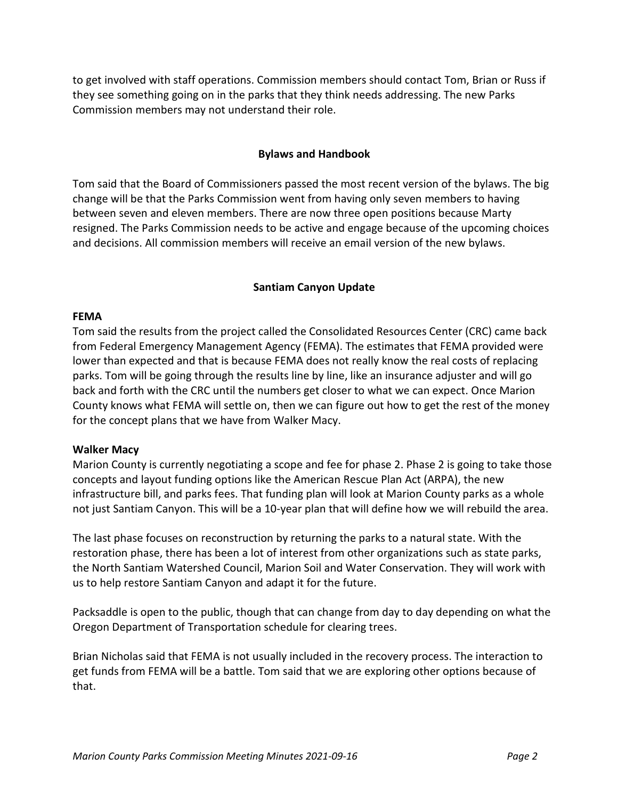to get involved with staff operations. Commission members should contact Tom, Brian or Russ if they see something going on in the parks that they think needs addressing. The new Parks Commission members may not understand their role.

## **Bylaws and Handbook**

Tom said that the Board of Commissioners passed the most recent version of the bylaws. The big change will be that the Parks Commission went from having only seven members to having between seven and eleven members. There are now three open positions because Marty resigned. The Parks Commission needs to be active and engage because of the upcoming choices and decisions. All commission members will receive an email version of the new bylaws.

## **Santiam Canyon Update**

#### **FEMA**

Tom said the results from the project called the Consolidated Resources Center (CRC) came back from Federal Emergency Management Agency (FEMA). The estimates that FEMA provided were lower than expected and that is because FEMA does not really know the real costs of replacing parks. Tom will be going through the results line by line, like an insurance adjuster and will go back and forth with the CRC until the numbers get closer to what we can expect. Once Marion County knows what FEMA will settle on, then we can figure out how to get the rest of the money for the concept plans that we have from Walker Macy.

## **Walker Macy**

Marion County is currently negotiating a scope and fee for phase 2. Phase 2 is going to take those concepts and layout funding options like the American Rescue Plan Act (ARPA), the new infrastructure bill, and parks fees. That funding plan will look at Marion County parks as a whole not just Santiam Canyon. This will be a 10-year plan that will define how we will rebuild the area.

The last phase focuses on reconstruction by returning the parks to a natural state. With the restoration phase, there has been a lot of interest from other organizations such as state parks, the North Santiam Watershed Council, Marion Soil and Water Conservation. They will work with us to help restore Santiam Canyon and adapt it for the future.

Packsaddle is open to the public, though that can change from day to day depending on what the Oregon Department of Transportation schedule for clearing trees.

Brian Nicholas said that FEMA is not usually included in the recovery process. The interaction to get funds from FEMA will be a battle. Tom said that we are exploring other options because of that.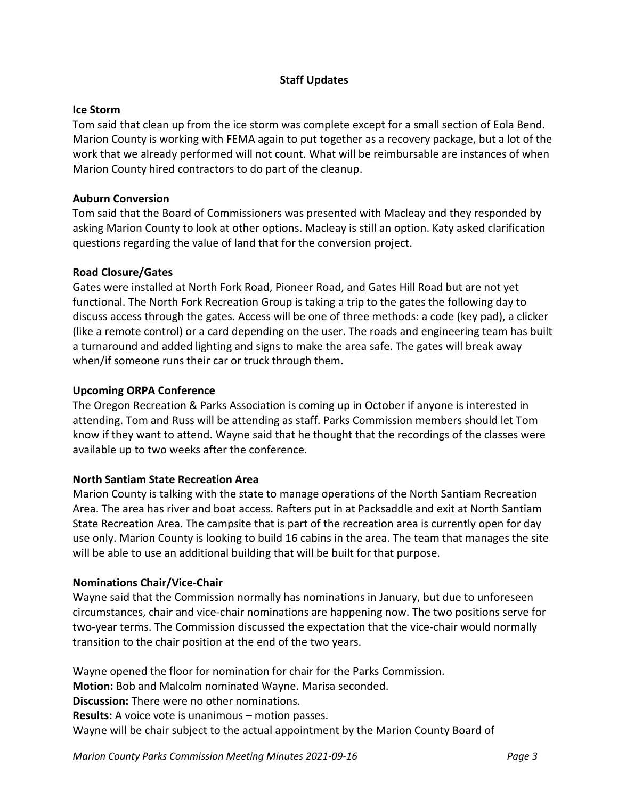## **Staff Updates**

## **Ice Storm**

Tom said that clean up from the ice storm was complete except for a small section of Eola Bend. Marion County is working with FEMA again to put together as a recovery package, but a lot of the work that we already performed will not count. What will be reimbursable are instances of when Marion County hired contractors to do part of the cleanup.

# **Auburn Conversion**

Tom said that the Board of Commissioners was presented with Macleay and they responded by asking Marion County to look at other options. Macleay is still an option. Katy asked clarification questions regarding the value of land that for the conversion project.

# **Road Closure/Gates**

Gates were installed at North Fork Road, Pioneer Road, and Gates Hill Road but are not yet functional. The North Fork Recreation Group is taking a trip to the gates the following day to discuss access through the gates. Access will be one of three methods: a code (key pad), a clicker (like a remote control) or a card depending on the user. The roads and engineering team has built a turnaround and added lighting and signs to make the area safe. The gates will break away when/if someone runs their car or truck through them.

# **Upcoming ORPA Conference**

The Oregon Recreation & Parks Association is coming up in October if anyone is interested in attending. Tom and Russ will be attending as staff. Parks Commission members should let Tom know if they want to attend. Wayne said that he thought that the recordings of the classes were available up to two weeks after the conference.

## **North Santiam State Recreation Area**

Marion County is talking with the state to manage operations of the North Santiam Recreation Area. The area has river and boat access. Rafters put in at Packsaddle and exit at North Santiam State Recreation Area. The campsite that is part of the recreation area is currently open for day use only. Marion County is looking to build 16 cabins in the area. The team that manages the site will be able to use an additional building that will be built for that purpose.

## **Nominations Chair/Vice-Chair**

Wayne said that the Commission normally has nominations in January, but due to unforeseen circumstances, chair and vice-chair nominations are happening now. The two positions serve for two-year terms. The Commission discussed the expectation that the vice-chair would normally transition to the chair position at the end of the two years.

Wayne opened the floor for nomination for chair for the Parks Commission.

**Motion:** Bob and Malcolm nominated Wayne. Marisa seconded.

**Discussion:** There were no other nominations.

**Results:** A voice vote is unanimous – motion passes.

Wayne will be chair subject to the actual appointment by the Marion County Board of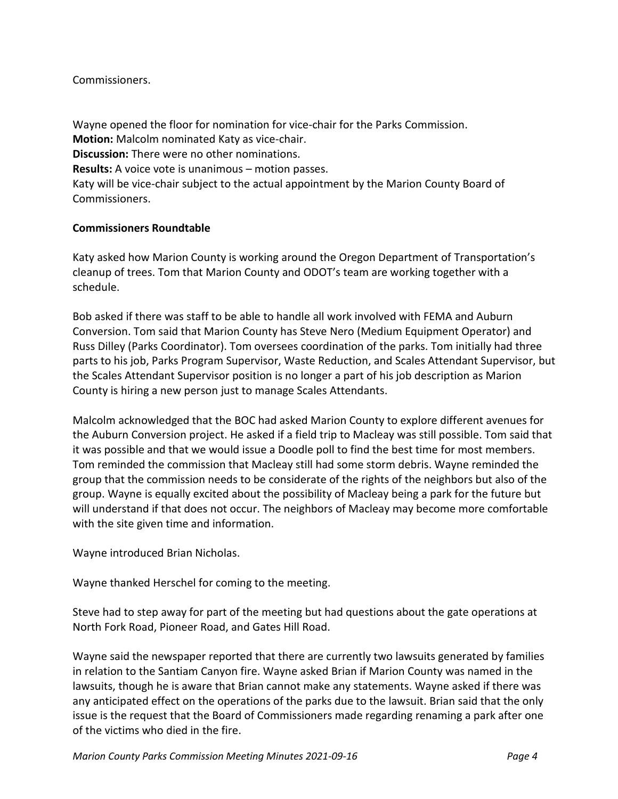# Commissioners.

Wayne opened the floor for nomination for vice-chair for the Parks Commission. **Motion:** Malcolm nominated Katy as vice-chair. **Discussion:** There were no other nominations. **Results:** A voice vote is unanimous – motion passes. Katy will be vice-chair subject to the actual appointment by the Marion County Board of Commissioners.

# **Commissioners Roundtable**

Katy asked how Marion County is working around the Oregon Department of Transportation's cleanup of trees. Tom that Marion County and ODOT's team are working together with a schedule.

Bob asked if there was staff to be able to handle all work involved with FEMA and Auburn Conversion. Tom said that Marion County has Steve Nero (Medium Equipment Operator) and Russ Dilley (Parks Coordinator). Tom oversees coordination of the parks. Tom initially had three parts to his job, Parks Program Supervisor, Waste Reduction, and Scales Attendant Supervisor, but the Scales Attendant Supervisor position is no longer a part of his job description as Marion County is hiring a new person just to manage Scales Attendants.

Malcolm acknowledged that the BOC had asked Marion County to explore different avenues for the Auburn Conversion project. He asked if a field trip to Macleay was still possible. Tom said that it was possible and that we would issue a Doodle poll to find the best time for most members. Tom reminded the commission that Macleay still had some storm debris. Wayne reminded the group that the commission needs to be considerate of the rights of the neighbors but also of the group. Wayne is equally excited about the possibility of Macleay being a park for the future but will understand if that does not occur. The neighbors of Macleay may become more comfortable with the site given time and information.

Wayne introduced Brian Nicholas.

Wayne thanked Herschel for coming to the meeting.

Steve had to step away for part of the meeting but had questions about the gate operations at North Fork Road, Pioneer Road, and Gates Hill Road.

Wayne said the newspaper reported that there are currently two lawsuits generated by families in relation to the Santiam Canyon fire. Wayne asked Brian if Marion County was named in the lawsuits, though he is aware that Brian cannot make any statements. Wayne asked if there was any anticipated effect on the operations of the parks due to the lawsuit. Brian said that the only issue is the request that the Board of Commissioners made regarding renaming a park after one of the victims who died in the fire.